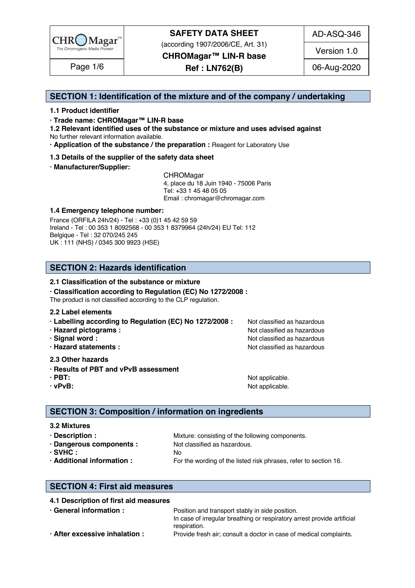

(according 1907/2006/CE, Art. 31)

AD-ASQ-346

**CHROMagar™ LIN-R base**

**Ref : LN762(B)** Page 1/6 06-Aug-2020

Version 1.0

### **SECTION 1: Identification of the mixture and of the company / undertaking** 1

#### **1.1 Product identifier** 2

**· Trade name: CHROMagar™ LIN-R base** 3

**1.2 Relevant identified uses of the substance or mixture and uses advised against** 4 No further relevant information available. 5

**· Application of the substance / the preparation :** Reagent for Laboratory Use 6

**1.3 Details of the supplier of the safety data sheet** 7

### **· Manufacturer/Supplier:** 8

CHROMagar 9 and 200 million and 200 million and 200 million and 200 million and 200 million and 200 million and 200 million and 200 million and 200 million and 200 million and 200 million and 200 million and 200 million an 4, place du 18 Juin 1940 - 75006 Paris<br>Tel: +33 1 45 48 05 05 Tel: +33 1 45 48 05 05 11 11 12 11 12 11 12 11 12 11 12 11 12 11 12 11 12 11 12 1 Email : chromagar@chromagar.com 12

#### **1.4 Emergency telephone number: 23 April 2012 13 April 2013 13 April 2013 13 April 2013 13 April 2013 13 April 2013**

France (ORFILA 24h/24) - Tel : +33 (0)1 45 42 59 59 14 Ireland - Tel: 00 353 1 8092568 - 00 353 1 8379964 (24h/24) EU Tel: 112 Belgique - Tel : 32 070/245 245 16 UK : 111 (NHS) / 0345 300 9923 (HSE) 17

### **SECTION 2: Hazards identification** 20

#### **2.1 Classification of the substance or mixture** 21

**· Classification according to Regulation (EC) No 1272/2008 :** 22

The product is not classified according to the CLP regulation.

#### **2.2 Label elements** 24

- **· Labelling according to Regulation (EC) No 1272/2008 : Not classified as hazardous**
- 
- 
- 

#### **2.3 Other hazards** 29

- **· Results of PBT and vPvB assessment** 30
- 
- 

**· Hazard pictograms :** Not classified as hazardous 26 and 26 and 26 and 26 and 26 and 26 and 26 and 26 and 26 and 26 and 26 and 26 and 26 and 26 and 26 and 26 and 26 and 26 and 26 and 26 and 26 and 26 and 26 and 26 and 26 **· Signal word :** Not classified as hazardous 27 and 27 and 27 and 27 and 27 and 27 and 27 and 27 and 27 and 27 and 27 and 27 and 27 and 27 and 27 and 27 and 27 and 27 and 27 and 27 and 27 and 27 and 27 and 27 and 27 and 2 **· Hazard statements :**  $\qquad \qquad \qquad$  Not classified as hazardous 28 and 28 and 28 and 28 and 28 and 28 and 28 and 28 and 28 and 28 and 28 and 28 and 28 and 28 and 28 and 28 and 28 and 28 and 28 and 28 and 28 and 28 and 28 a

**· PBT:**  $\bullet$  **PBT:**  $\bullet$  **11**  $\bullet$  **11**  $\bullet$  **11**  $\bullet$  **11**  $\bullet$  **11**  $\bullet$  **11**  $\bullet$  **11**  $\bullet$  **11**  $\bullet$  **11**  $\bullet$  **11**  $\bullet$  **11**  $\bullet$  **11**  $\bullet$  **11**  $\bullet$  **11**  $\bullet$  **11**  $\bullet$  **11**  $\bullet$  **11**  $\bullet$  **11**  $\bullet$  **11**  $\bullet$  **11 · vPvB:**  $\bullet$  **PvB:**  $\bullet$  **122** *n*  $\bullet$  **122** *n*  $\bullet$  *n*  $\bullet$  *n*  $\bullet$  *n*  $\bullet$  *n*  $\bullet$  *n*  $\bullet$  *n*  $\bullet$  *n*  $\bullet$  *n*  $\bullet$  *n*  $\bullet$  *n*  $\bullet$  *n*  $\bullet$  *n*  $\bullet$  *n*  $\bullet$  *n*  $\bullet$  *n*

### **SECTION 3: Composition / information on ingredients**

#### **3.2 Mixtures** 36

| $\cdot$ Description :      | Mixture: consisting of the following components.                 |
|----------------------------|------------------------------------------------------------------|
| · Dangerous components :   | Not classified as hazardous.                                     |
| $·$ SVHC $:$               |                                                                  |
| · Additional information : | For the wording of the listed risk phrases, refer to section 16. |

### **SECTION 4: First aid measures** 43

#### **4.1 Description of first aid measures** 44

| In case of irregular breathing or respiratory arrest provide artificial<br>respiration. | $\cdot$ General information :  | Position and transport stably in side position.                    |
|-----------------------------------------------------------------------------------------|--------------------------------|--------------------------------------------------------------------|
|                                                                                         |                                |                                                                    |
|                                                                                         |                                |                                                                    |
|                                                                                         | · After excessive inhalation : | Provide fresh air; consult a doctor in case of medical complaints. |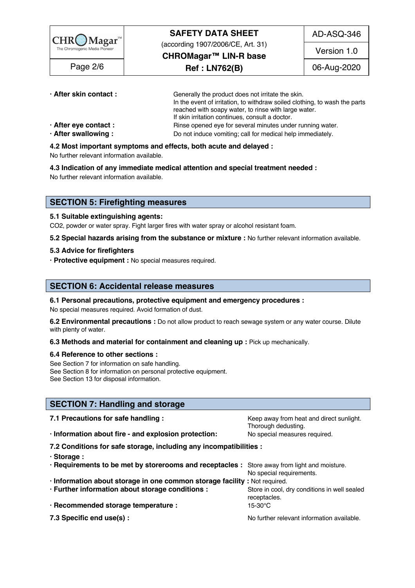

| · After skin contact:       | Generally the product does not irritate the skin.                          |  |  |
|-----------------------------|----------------------------------------------------------------------------|--|--|
|                             | In the event of irritation, to withdraw soiled clothing, to wash the parts |  |  |
|                             | reached with soapy water, to rinse with large water.                       |  |  |
|                             | If skin irritation continues, consult a doctor.                            |  |  |
| $\cdot$ After eye contact : | Rinse opened eye for several minutes under running water.                  |  |  |
| · After swallowing:         | Do not induce vomiting; call for medical help immediately.                 |  |  |

**4.2 Most important symptoms and effects, both acute and delayed :** 55

No further relevant information available.  $\overline{5}$  and  $\overline{5}$  and  $\overline{5}$  and  $\overline{5}$  and  $\overline{5}$  and  $\overline{5}$  and  $\overline{5}$  and  $\overline{5}$  and  $\overline{5}$  and  $\overline{5}$  and  $\overline{5}$  and  $\overline{5}$  and  $\overline{5}$  and  $\overline{5}$  a

**4.3 Indication of any immediate medical attention and special treatment needed :** 57

No further relevant information available. Superstanding the state of the state of the state of the state of the state of the state of the state of the state of the state of the state of the state of the state of the state

#### **SECTION 5: Firefighting measures**

#### **5.1 Suitable extinguishing agents:** 62

CO2, powder or water spray. Fight larger fires with water spray or alcohol resistant foam.

**5.2 Special hazards arising from the substance or mixture :** No further relevant information available. 64

#### **5.3 Advice for firefighters** 65

**· Protective equipment :** No special measures required. 66

#### **SECTION 6: Accidental release measures**

#### **6.1 Personal precautions, protective equipment and emergency procedures :** 70

No special measures required. Avoid formation of dust.

**6.2 Environmental precautions :** Do not allow product to reach sewage system or any water course. Dilute with plenty of water. The contract of the contract of the contract of the contract of the contract of the contract of the contract of the contract of the contract of the contract of the contract of the contract of the cont

#### **6.3 Methods and material for containment and cleaning up : Pick up mechanically.**

#### **6.4 Reference to other sections :** 75

See Section 7 for information on safe handling. The section of the section of the section of the section of the section of the section of the section of the section of the section of the section of the section of the secti See Section 8 for information on personal protective equipment.<br>See Section 13 for disposal information. See Section 13 for disposal information. The section of the section of the section of the section of the section of the section of the section of the section of the section of the section of the section of the section of t

#### **SECTION 7: Handling and storage**

| 7.1 Precautions for safe handling :                                                          | Keep away from heat and direct sunlight.<br>Thorough dedusting. |  |  |
|----------------------------------------------------------------------------------------------|-----------------------------------------------------------------|--|--|
| · Information about fire - and explosion protection:                                         | No special measures required.                                   |  |  |
| 7.2 Conditions for safe storage, including any incompatibilities :                           |                                                                 |  |  |
| · Storage:                                                                                   |                                                                 |  |  |
| · Requirements to be met by storerooms and receptacles : Store away from light and moisture. | No special requirements.                                        |  |  |
| · Information about storage in one common storage facility : Not required.                   |                                                                 |  |  |
| · Further information about storage conditions :                                             | Store in cool, dry conditions in well sealed<br>receptacles.    |  |  |
| · Recommended storage temperature :                                                          | 15-30°C                                                         |  |  |
| 7.3 Specific end use(s) :                                                                    | No further relevant information available.                      |  |  |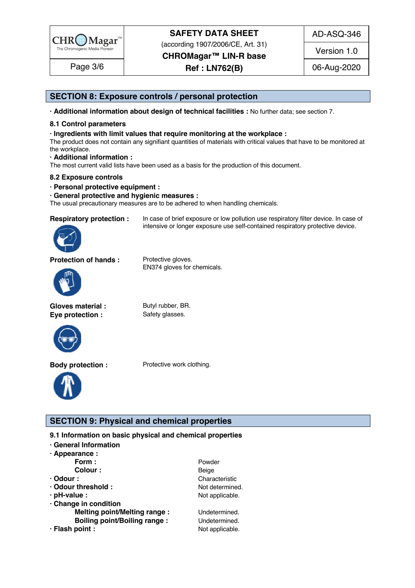

(according 1907/2006/CE, Art. 31)

**CHROMagar™ LIN-R base**

**Ref : LN762(B)** Page 3/6 06-Aug-2020

intensive or longer exposure use self-contained respiratory protective device.

AD-ASQ-346

Version 1.0

### **SECTION 8: Exposure controls / personal protection**

**· Additional information about design of technical facilities :** No further data; see section 7. 98

#### **8.1 Control parameters** 99

**· Ingredients with limit values that require monitoring at the workplace :** 100

The product does not contain any signifiant quantities of materials with critical values that have to be monitored at the workplace.  $\hbox{the workplace.}$ 

**· Additional information :** 103

The most current valid lists have been used as a basis for the production of this document.

#### **8.2 Exposure controls** 105

**· Personal protective equipment :** 106

#### **· General protective and hygienic measures :** 107

The usual precautionary measures are to be adhered to when handling chemicals.

**Respiratory protection :** In case of brief exposure or low pollution use respiratory filter device. In case of



**Protection of hands :** Protective gloves.



Gloves material : Butyl rubber, BR. **Eye protection :** Safety glasses.



EN374 gloves for chemicals.



**Body protection :** Protective work clothing.



### **SECTION 9: Physical and chemical properties**

**9.1 Information on basic physical and chemical properties** 

- **· General Information** 114
- **· Appearance :** 115

|                                     | Powder          |
|-------------------------------------|-----------------|
| Form :<br>Colour :                  | Beige           |
| $\cdot$ Odour :                     | Characteristic  |
| · Odour threshold:                  | Not determined. |
| $\cdot$ pH-value :                  | Not applicable. |
| · Change in condition               |                 |
| <b>Melting point/Melting range:</b> | Undetermined.   |
| <b>Boiling point/Boiling range:</b> | Undetermined.   |
| · Flash point :                     | Not applicable. |
|                                     |                 |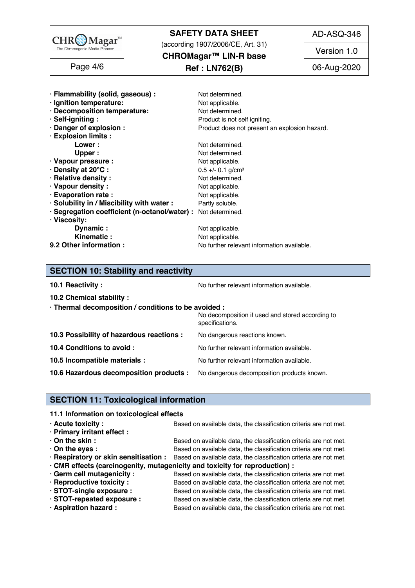

(according 1907/2006/CE, Art. 31)

AD-ASQ-346

**CHROMagar™ LIN-R base**

**Ref : LN762(B)** Page 4/6 06-Aug-2020

Version 1.0

| · Flammability (solid, gaseous) :                             | Not determined.                               |
|---------------------------------------------------------------|-----------------------------------------------|
| · Ignition temperature:                                       | Not applicable.                               |
| · Decomposition temperature:                                  | Not determined.                               |
| · Self-igniting:                                              | Product is not self igniting.                 |
| · Danger of explosion :                                       | Product does not present an explosion hazard. |
| · Explosion limits :                                          |                                               |
| Lower:                                                        | Not determined.                               |
| Upper :                                                       | Not determined.                               |
| · Vapour pressure :                                           | Not applicable.                               |
| · Density at 20°C:                                            | $0.5 +/- 0.1$ g/cm <sup>3</sup>               |
| · Relative density :                                          | Not determined.                               |
| · Vapour density:                                             | Not applicable.                               |
| · Evaporation rate :                                          | Not applicable.                               |
| · Solubility in / Miscibility with water :                    | Partly soluble.                               |
| · Segregation coefficient (n-octanol/water) : Not determined. |                                               |
| · Viscosity:                                                  |                                               |
| Dynamic:                                                      | Not applicable.                               |
| Kinematic:                                                    | Not applicable.                               |
| 9.2 Other information :                                       | No further relevant information available.    |

## **SECTION 10: Stability and reactivity**

**10.1 Reactivity :** No further relevant information available. 1474 The same of the same of the Norther relevant information available.

**10.2 Chemical stability :** 148

| · Thermal decomposition / conditions to be avoided : |  |  |  |  |  |  |
|------------------------------------------------------|--|--|--|--|--|--|
|                                                      |  |  |  |  |  |  |

|                                                                                    | No decomposition if used and stored according to<br>specifications. |
|------------------------------------------------------------------------------------|---------------------------------------------------------------------|
| 10.3 Possibility of hazardous reactions :                                          | No dangerous reactions known.                                       |
| 10.4 Conditions to avoid :                                                         | No further relevant information available.                          |
| 10.5 Incompatible materials :                                                      | No further relevant information available.                          |
| 10.6 Hazardous decomposition products : No dangerous decomposition products known. |                                                                     |
|                                                                                    |                                                                     |

## **SECTION 11: Toxicological information**

### **11.1 Information on toxicological effects**

| $\cdot$ Acute toxicity :    | Based on available data, the classification criteria are not met.                                       |
|-----------------------------|---------------------------------------------------------------------------------------------------------|
| · Primary irritant effect : |                                                                                                         |
| $\cdot$ On the skin :       | Based on available data, the classification criteria are not met.                                       |
| $\cdot$ On the eyes :       | Based on available data, the classification criteria are not met.                                       |
|                             | · Respiratory or skin sensitisation : Based on available data, the classification criteria are not met. |
|                             | · CMR effects (carcinogenity, mutagenicity and toxicity for reproduction) :                             |
| · Germ cell mutagenicity :  | Based on available data, the classification criteria are not met.                                       |
| · Reproductive toxicity :   | Based on available data, the classification criteria are not met.                                       |
| · STOT-single exposure :    | Based on available data, the classification criteria are not met.                                       |
| · STOT-repeated exposure :  | Based on available data, the classification criteria are not met.                                       |
| · Aspiration hazard :       | Based on available data, the classification criteria are not met.                                       |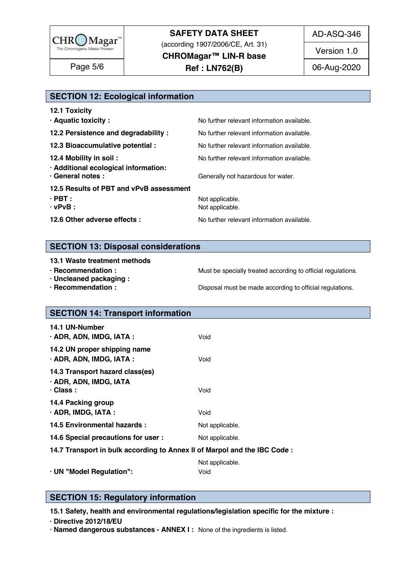

(according 1907/2006/CE, Art. 31)

**CHROMagar™ LIN-R base**

**Ref : LN762(B)** Page 5/6 06-Aug-2020

Version 1.0

### **SECTION 12: Ecological information**

| <b>12.1 Toxicity</b>                                      |                                            |
|-----------------------------------------------------------|--------------------------------------------|
| · Aquatic toxicity :                                      | No further relevant information available. |
| 12.2 Persistence and degradability :                      | No further relevant information available. |
| 12.3 Bioaccumulative potential :                          | No further relevant information available. |
| 12.4 Mobility in soil:                                    | No further relevant information available. |
| · Additional ecological information:<br>· General notes : | Generally not hazardous for water.         |
| 12.5 Results of PBT and vPvB assessment                   |                                            |
| $\cdot$ PBT :                                             | Not applicable.                            |
| $\cdot$ vPvB :                                            | Not applicable.                            |
| 12.6 Other adverse effects :                              | No further relevant information available. |
|                                                           |                                            |

### **SECTION 13: Disposal considerations**

#### **13.1 Waste treatment methods in a set of the set of the set of the set of the set of the set of the set of the set of the set of the set of the set of the set of the set of the set of the set of the set of the set of the**

- 
- **· Uncleaned packaging :** 191
- 

**· Recommendation : Must be specially treated according to official regulations.**<br>**· Uncleaned packaging :** 1905

**· Recommendation :**  $\overline{\phantom{a}}$  **Disposal must be made according to official regulations.** 

| <b>SECTION 14: Transport information</b>                                     |                         |
|------------------------------------------------------------------------------|-------------------------|
| 14.1 UN-Number<br>· ADR, ADN, IMDG, IATA :                                   | Void                    |
| 14.2 UN proper shipping name<br>· ADR, ADN, IMDG, IATA :                     | Void                    |
| 14.3 Transport hazard class(es)<br>· ADR, ADN, IMDG, IATA<br>$\cdot$ Class : | Void                    |
| 14.4 Packing group<br>$\cdot$ ADR, IMDG, IATA :                              | Void                    |
| 14.5 Environmental hazards :                                                 | Not applicable.         |
| 14.6 Special precautions for user :                                          | Not applicable.         |
| 14.7 Transport in bulk according to Annex II of Marpol and the IBC Code :    |                         |
| · UN "Model Regulation":                                                     | Not applicable.<br>Void |

### **SECTION 15: Regulatory information**

**15.1 Safety, health and environmental regulations/legislation specific for the mixture :** 213

**· Directive 2012/18/EU** 214

**· Named dangerous substances - ANNEX I :** None of the ingredients is listed. 215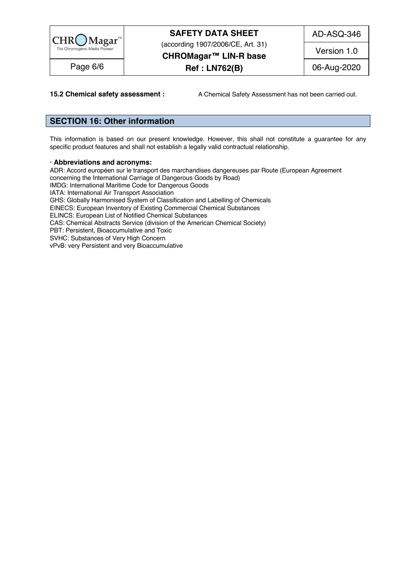

(according 1907/2006/CE, Art. 31)

AD-ASQ-346

**CHROMagar™ LIN-R base**

Version 1.0

**Ref : LN762(B)** Page 6/6 06-Aug-2020

**15.2 Chemical safety assessment :** A Chemical Safety Assessment has not been carried out.

### **SECTION 16: Other information** 219

This information is based on our present knowledge. However, this shall not constitute a guarantee for any specific product features and shall not establish a legally valid contractual relationship.

#### **· Abbreviations and acronyms:** 224

ADR: Accord européen sur le transport des marchandises dangereuses par Route (European Agreement concerning the International Carriage of Dangerous Goods by Road) IMDG: International Maritime Code for Dangerous Goods IATA: International Air Transport Association GHS: Globally Harmonised System of Classification and Labelling of Chemicals EINECS: European Inventory of Existing Commercial Chemical Substances ELINCS: European List of Notified Chemical Substances CAS: Chemical Abstracts Service (division of the American Chemical Society) PBT: Persistent, Bioaccumulative and Toxic<br>SVHC: Substances of Very High Concern SVHC: Substances of Very High Concern 2344 Service 2344 Service 2344 Service 2344 Service 2344 Service 2344 Se vPvB: very Persistent and very Bioaccumulative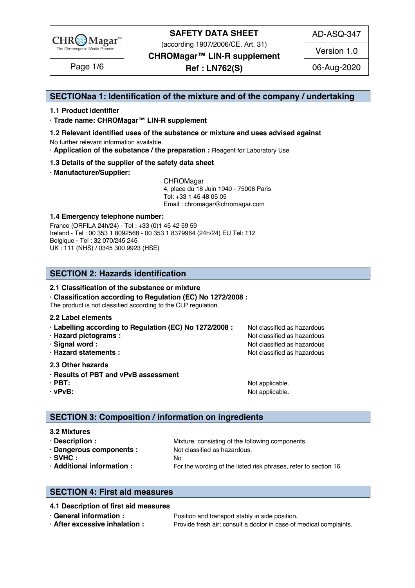

(according 1907/2006/CE, Art. 31)

AD-ASQ-347

**CHROMagar™ LIN-R supplement**

**Ref : LN762(S)** Page 1/6 06-Aug-2020

Version 1.0

### **SECTIONaa 1: Identification of the mixture and of the company / undertaking** 1

#### **1.1 Product identifier** 2

**· Trade name: CHROMagar™ LIN-R supplement** 3

**1.2 Relevant identified uses of the substance or mixture and uses advised against** 4

No further relevant information available. 5

**· Application of the substance / the preparation :** Reagent for Laboratory Use 6

#### **1.3 Details of the supplier of the safety data sheet** 7

**· Manufacturer/Supplier:** 8

CHROMagar 9 and 200 million and 200 million and 200 million and 200 million and 200 million and 200 million and 200 million and 200 million and 200 million and 200 million and 200 million and 200 million and 200 million an 4, place du 18 Juin 1940 - 75006 Paris 10 Tel: +33 1 45 48 05 05 11 Email : chromagar@chromagar.com 12

#### **1.4 Emergency telephone number: 23 April 2012 13 April 2013 13 April 2013 13 April 2013 13 April 2013 13 April 2013**

France (ORFILA 24h/24) - Tel : +33 (0)1 45 42 59 59 Ireland - Tel: 00 353 1 8092568 - 00 353 1 8379964 (24h/24) EU Tel: 112 Belgique - Tel : 32 070/245 245 16 UK : 111 (NHS) / 0345 300 9923 (HSE) 17

### **SECTION 2: Hazards identification** 20

#### **2.1 Classification of the substance or mixture**

**· Classification according to Regulation (EC) No 1272/2008 :** 22

The product is not classified according to the CLP regulation.

#### **2.2 Label elements** 24

- **· Labelling according to Regulation (EC) No 1272/2008 : Not classified as hazardous**
- 
- 
- 
- **2.3 Other hazards** 29
- **· Results of PBT and vPvB assessment** 30
- 
- 

**· Hazard pictograms :** Not classified as hazardous 26 and 26 and 26 and 26 and 26 and 26 and 26 and 26 and 26 and 26 and 26 and 26 and 26 and 26 and 26 and 26 and 26 and 26 and 26 and 26 and 26 and 26 and 26 and 26 and 26 **· Signal word :** Not classified as hazardous 27 and 27 and 27 and 27 and 27 and 27 and 27 and 27 and 27 and 27 and 27 and 27 and 27 and 27 and 27 and 27 and 27 and 27 and 27 and 27 and 27 and 27 and 27 and 27 and 27 and 2 **· Hazard statements :**  $\qquad \qquad \qquad$  Not classified as hazardous 28 and 28 and 28 and 28 and 28 and 28 and 28 and 28 and 28 and 28 and 28 and 28 and 28 and 28 and 28 and 28 and 28 and 28 and 28 and 28 and 28 and 28 and 28 a

**· PBT:**  $\bullet$  **PBT:**  $\bullet$  **11**  $\bullet$  **11**  $\bullet$  **11**  $\bullet$  **11**  $\bullet$  **11**  $\bullet$  **11**  $\bullet$  **11**  $\bullet$  **11**  $\bullet$  **11**  $\bullet$  **11**  $\bullet$  **11**  $\bullet$  **11**  $\bullet$  **11**  $\bullet$  **11**  $\bullet$  **11**  $\bullet$  **11**  $\bullet$  **11**  $\bullet$  **11**  $\bullet$  **11**  $\bullet$  **11 · vPvB:**  $\bullet$  **PvB:**  $\bullet$  **122** *n*  $\bullet$  **122** *n*  $\bullet$  *n*  $\bullet$  *n*  $\bullet$  *n*  $\bullet$  *n*  $\bullet$  *n*  $\bullet$  *n*  $\bullet$  *n*  $\bullet$  *n*  $\bullet$  *n*  $\bullet$  *n*  $\bullet$  *n*  $\bullet$  *n*  $\bullet$  *n*  $\bullet$  *n*  $\bullet$  *n*

### **SECTION 3: Composition / information on ingredients**

#### **3.2 Mixtures** 36

**• Description : Wixture: consisting of the following components.** 377 and 378 and 378 and 378 and 377 and 378 and 378 and 378 and 378 and 378 and 378 and 378 and 378 and 378 and 378 and 378 and 378 and 378 and 378 and 3 **· Dangerous components :** Not classified as hazardous. 388 and 288 and 288 and 288 and 288 and 288 and 288 and 288 and 288 and 288 and 288 and 288 and 288 and 288 and 288 and 288 and 288 and 288 and 288 and 288 and 288 an  $\cdot$  SVHC : No 399 No 399 No 399 No 399 No 399 No 399 No 399 No 399 No 399 No 399 No 399 No 399 No 399 No 399 No 399 No 399 No 399 No 399 No 399 No 399 No 399 No 399 No 399 No 399 No 399 No 399 No 399 No 399 No 399 No 399

**· Additional information :** For the wording of the listed risk phrases, refer to section 16.

**SECTION 4: First aid measures** 43

#### **4.1 Description of first aid measures** 44

**· General information :** *Position and transport stably in side position.* **455 and the position of the position of the position of the position of the position of the position of the position of the position of the posit · After excessive inhalation :** Provide fresh air; consult a doctor in case of medical complaints. 46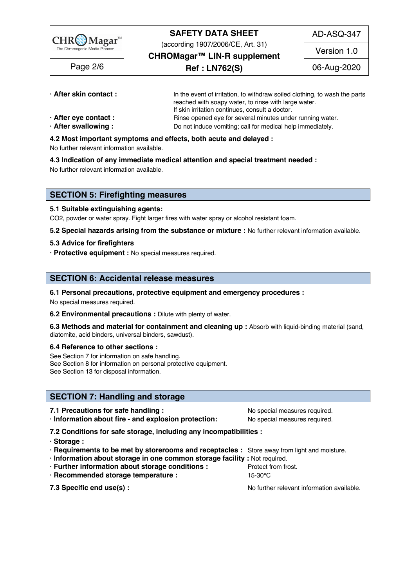

(according 1907/2006/CE, Art. 31)

AD-ASQ-347

**CHROMagar™ LIN-R supplement**

**Ref : LN762(S)** Page 2/6 06-Aug-2020

Version 1.0

- 
- **· After skin contact : In the event of irritation, to withdraw soiled clothing, to wash the parts** reached with soapy water, to rinse with large water. If skin irritation continues, consult a doctor.
- **· After eye contact : Rinse opened eye for several minutes under running water.**
- **After swallowing:** Do not induce vomiting; call for medical help immediately.

## **4.2 Most important symptoms and effects, both acute and delayed :** 52

No further relevant information available. Some relationships are seen as a state of the state of the state of

**4.3 Indication of any immediate medical attention and special treatment needed :** 54

No further relevant information available. Some relationships are settled as a set of the set of the set of the

### **SECTION 5: Firefighting measures**

#### **5.1 Suitable extinguishing agents:** 59

CO2, powder or water spray. Fight larger fires with water spray or alcohol resistant foam.

**5.2 Special hazards arising from the substance or mixture :** No further relevant information available. 61

#### **5.3 Advice for firefighters** 62

**· Protective equipment :** No special measures required. 63

### **SECTION 6: Accidental release measures**

### **6.1 Personal precautions, protective equipment and emergency procedures :** 67

No special measures required. **688 and 2012 and 2012 and 2012 and 2013** and 2012 and 30 and 30 and 30 and 30 and 30 and 30 and 30 and 30 and 30 and 30 and 30 and 30 and 30 and 30 and 30 and 30 and 30 and 30 and 30 and 30 a

**6.2 Environmental precautions :** Dilute with plenty of water.

**6.3 Methods and material for containment and cleaning up :** Absorb with liquid-binding material (sand, diatomite, acid binders, universal binders, sawdust).

#### **6.4 Reference to other sections :** 72

See Section 7 for information on safe handling. The section of the section of the section of the section of the section of the section of the section of the section of the section of the section of the section of the secti See Section 8 for information on personal protective equipment.<br>See Section 13 for disposal information. See Section 13 for disposal information. The section of the section of the section of the section of the section of the section of the section of the section of the section of the section of the section of the section of t

### **SECTION 7: Handling and storage**

**7.1 Precautions for safe handling :**  $\qquad \qquad N$ o special measures required.

**· Information about fire - and explosion protection:** No special measures required. 80

**7.2 Conditions for safe storage, including any incompatibilities :** 81

- **· Storage :** 82
- **· Requirements to be met by storerooms and receptacles :** Store away from light and moisture. 83
- **· Information about storage in one common storage facility :** Not required. 84
- **· Further information about storage conditions :** Protect from frost. 85
- **· Recommended storage temperature :** 15-30°C 86

**7.3 Specific end use(s) : No further relevant information available.** 87.3 Specific end use(s) :

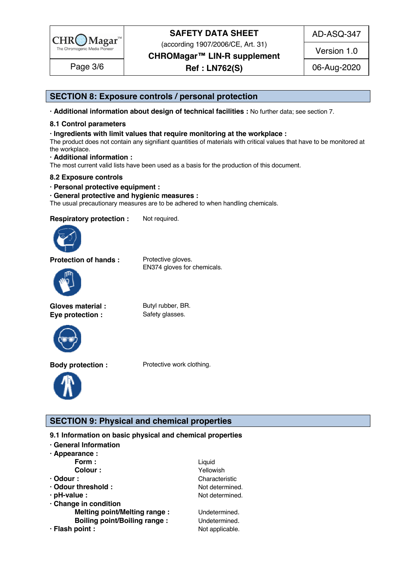

(according 1907/2006/CE, Art. 31)

**CHROMagar™ LIN-R supplement**

**Ref : LN762(S)** Page 3/6 06-Aug-2020

AD-ASQ-347

Version 1.0

### **SECTION 8: Exposure controls / personal protection**

**· Additional information about design of technical facilities :** No further data; see section 7. 93

### **8.1 Control parameters** 94

#### **· Ingredients with limit values that require monitoring at the workplace :** 95

The product does not contain any signifiant quantities of materials with critical values that have to be monitored at the workplace. the workplace. The state of the state of the state of the state of the state of the state of the state of the state of the state of the state of the state of the state of the state of the state of the state of the state of

**· Additional information :** 98

The most current valid lists have been used as a basis for the production of this document.

#### **8.2 Exposure controls in the control of the control of the control of the control of the control of the control of the control of the control of the control of the control of the control of the control of the control of t**

**· Personal protective equipment :** 101

**· General protective and hygienic measures :** 102

The usual precautionary measures are to be adhered to when handling chemicals.

**Respiratory protection :** Not required.



**Protection of hands :** Protective gloves.

EN374 gloves for chemicals.



Gloves material : Butyl rubber, BR. **Eye protection :** Safety glasses.





**Body protection :** Protective work clothing.



**SECTION 9: Physical and chemical properties** 

### **9.1 Information on basic physical and chemical properties**

- **· General Information** 109
- **· Appearance :** 110

| Form:                               | Liquid          |  |
|-------------------------------------|-----------------|--|
| Colour:                             | Yellowish       |  |
| $\cdot$ Odour :                     | Characteristic  |  |
| · Odour threshold:                  | Not determined. |  |
| · pH-value :                        | Not determined. |  |
| · Change in condition               |                 |  |
| <b>Melting point/Melting range:</b> | Undetermined.   |  |
| <b>Boiling point/Boiling range:</b> | Undetermined.   |  |
| · Flash point :                     | Not applicable. |  |
|                                     |                 |  |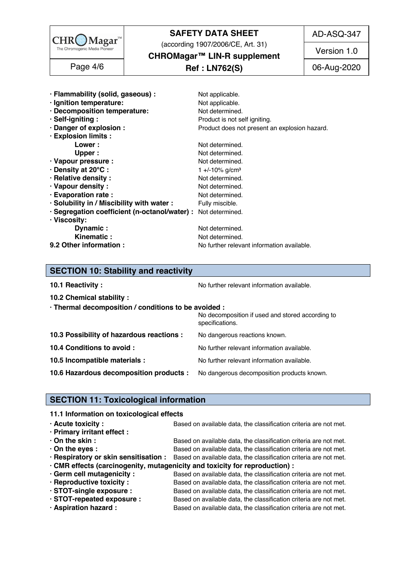

(according 1907/2006/CE, Art. 31)

AD-ASQ-347

**CHROMagar™ LIN-R supplement**

### **Ref : LN762(S)** Page 4/6 06-Aug-2020

Version 1.0

| · Flammability (solid, gaseous) :<br>Not applicable.                  |                                               |  |  |
|-----------------------------------------------------------------------|-----------------------------------------------|--|--|
| · Ignition temperature:<br>Not applicable.                            |                                               |  |  |
| · Decomposition temperature:<br>Not determined.                       |                                               |  |  |
| · Self-igniting:                                                      | Product is not self igniting.                 |  |  |
| · Danger of explosion :                                               | Product does not present an explosion hazard. |  |  |
| · Explosion limits :                                                  |                                               |  |  |
| Not determined.<br>Lower:                                             |                                               |  |  |
| Upper :<br>Not determined.                                            |                                               |  |  |
| · Vapour pressure :<br>Not determined.                                |                                               |  |  |
| · Density at 20°C:<br>1 +/-10% g/cm <sup>3</sup>                      |                                               |  |  |
| · Relative density :<br>Not determined.                               |                                               |  |  |
| · Vapour density:<br>Not determined.                                  |                                               |  |  |
| · Evaporation rate :<br>Not determined.                               |                                               |  |  |
| · Solubility in / Miscibility with water :<br>Fully miscible.         |                                               |  |  |
| · Segregation coefficient (n-octanol/water) : Not determined.         |                                               |  |  |
| · Viscosity:                                                          |                                               |  |  |
| Dynamic:<br>Not determined.                                           |                                               |  |  |
| Kinematic:<br>Not determined.                                         |                                               |  |  |
| 9.2 Other information :<br>No further relevant information available. |                                               |  |  |

### **SECTION 10: Stability and reactivity**

**10.1 Reactivity :** No further relevant information available. 1422 and the setter information available.

### **10.2 Chemical stability :** 143

| .                                                    |                                                                     |
|------------------------------------------------------|---------------------------------------------------------------------|
| · Thermal decomposition / conditions to be avoided : |                                                                     |
|                                                      | No decomposition if used and stored according to<br>specifications. |
| 10.3 Possibility of hazardous reactions :            | No dangerous reactions known.                                       |
| 10.4 Conditions to avoid :                           | No further relevant information available.                          |

**10.5 Incompatible materials :** No further relevant information available.

**10.6 Hazardous decomposition products :** No dangerous decomposition products known.

### **SECTION 11: Toxicological information**

#### **11.1 Information on toxicological effects**

| $\cdot$ Acute toxicity :    | Based on available data, the classification criteria are not met.                                       |
|-----------------------------|---------------------------------------------------------------------------------------------------------|
| · Primary irritant effect : |                                                                                                         |
| $\cdot$ On the skin :       | Based on available data, the classification criteria are not met.                                       |
| $\cdot$ On the eyes :       | Based on available data, the classification criteria are not met.                                       |
|                             | . Respiratory or skin sensitisation : Based on available data, the classification criteria are not met. |
|                             | · CMR effects (carcinogenity, mutagenicity and toxicity for reproduction) :                             |
| Germ cell mutagenicity:     | Based on available data, the classification criteria are not met.                                       |
| · Reproductive toxicity :   | Based on available data, the classification criteria are not met.                                       |
| · STOT-single exposure :    | Based on available data, the classification criteria are not met.                                       |
| STOT-repeated exposure :    | Based on available data, the classification criteria are not met.                                       |
| · Aspiration hazard :       | Based on available data, the classification criteria are not met.                                       |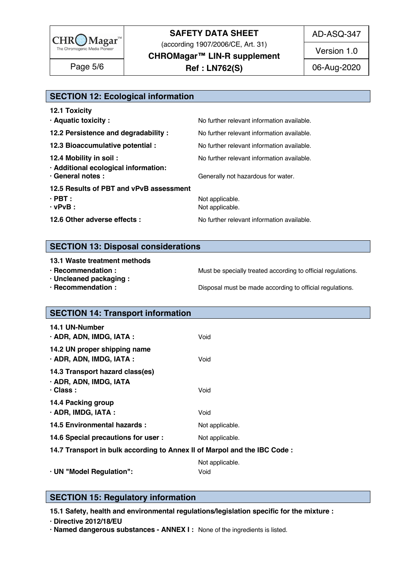

(according 1907/2006/CE, Art. 31)

**CHROMagar™ LIN-R supplement**

**Ref : LN762(S)** Page 5/6 06-Aug-2020

AD-ASQ-347

Version 1.0

### **SECTION 12: Ecological information**

| No further relevant information available.<br>No further relevant information available.<br>No further relevant information available.<br>· Additional ecological information:<br>Generally not hazardous for water.<br>Not applicable.<br>Not applicable.<br>No further relevant information available. | <b>12.1 Toxicity</b>                    |                                            |
|----------------------------------------------------------------------------------------------------------------------------------------------------------------------------------------------------------------------------------------------------------------------------------------------------------|-----------------------------------------|--------------------------------------------|
|                                                                                                                                                                                                                                                                                                          | · Aquatic toxicity :                    | No further relevant information available. |
|                                                                                                                                                                                                                                                                                                          | 12.2 Persistence and degradability :    |                                            |
|                                                                                                                                                                                                                                                                                                          | 12.3 Bioaccumulative potential :        |                                            |
|                                                                                                                                                                                                                                                                                                          | 12.4 Mobility in soil:                  |                                            |
|                                                                                                                                                                                                                                                                                                          | · General notes :                       |                                            |
|                                                                                                                                                                                                                                                                                                          | 12.5 Results of PBT and vPvB assessment |                                            |
|                                                                                                                                                                                                                                                                                                          | $\cdot$ PBT :                           |                                            |
|                                                                                                                                                                                                                                                                                                          | $\cdot$ vPvB :                          |                                            |
|                                                                                                                                                                                                                                                                                                          | 12.6 Other adverse effects :            |                                            |

### **SECTION 13: Disposal considerations**

#### **13.1 Waste treatment methods in a set of the set of the set of the set of the set of the set of the set of the set of the set of the set of the set of the set of the set of the set of the set of the set of the set of the**

- 
- **· Uncleaned packaging :** 186
- 

**· Recommendation : Must be specially treated according to official regulations.**<br>**· Uncleaned packaging :** 1855

**· Recommendation : Disposal must be made according to official regulations.** 

| <b>SECTION 14: Transport information</b>                                     |                         |
|------------------------------------------------------------------------------|-------------------------|
| 14.1 UN-Number<br>· ADR, ADN, IMDG, IATA :                                   | Void                    |
| 14.2 UN proper shipping name<br>· ADR, ADN, IMDG, IATA :                     | Void                    |
| 14.3 Transport hazard class(es)<br>· ADR, ADN, IMDG, IATA<br>$\cdot$ Class : | Void                    |
| 14.4 Packing group<br>$\cdot$ ADR, IMDG, IATA :                              | Void                    |
| 14.5 Environmental hazards :                                                 | Not applicable.         |
| 14.6 Special precautions for user :                                          | Not applicable.         |
| 14.7 Transport in bulk according to Annex II of Marpol and the IBC Code :    |                         |
| · UN "Model Regulation":                                                     | Not applicable.<br>Void |

### **SECTION 15: Regulatory information**

**15.1 Safety, health and environmental regulations/legislation specific for the mixture :** 208

**· Directive 2012/18/EU** 209

**· Named dangerous substances - ANNEX I :** None of the ingredients is listed. 210